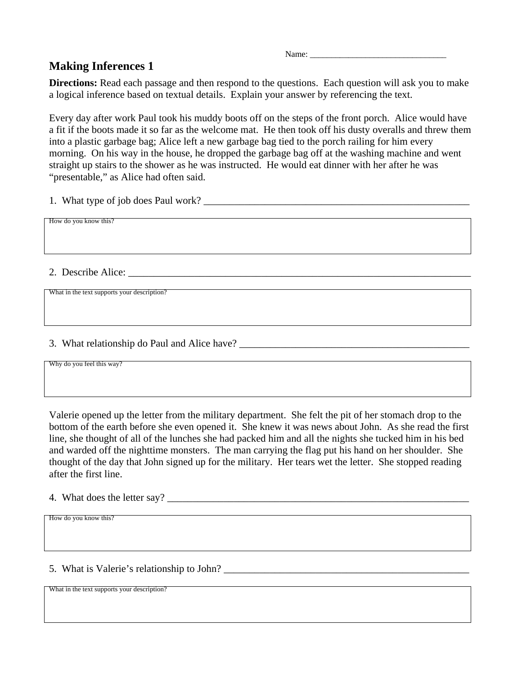Name:

## **Making Inferences 1**

**Directions:** Read each passage and then respond to the questions. Each question will ask you to make a logical inference based on textual details. Explain your answer by referencing the text.

Every day after work Paul took his muddy boots off on the steps of the front porch. Alice would have a fit if the boots made it so far as the welcome mat. He then took off his dusty overalls and threw them into a plastic garbage bag; Alice left a new garbage bag tied to the porch railing for him every morning. On his way in the house, he dropped the garbage bag off at the washing machine and went straight up stairs to the shower as he was instructed. He would eat dinner with her after he was "presentable," as Alice had often said.

1. What type of job does Paul work?

How do you know this?

2. Describe Alice:

What in the text supports your description?

3. What relationship do Paul and Alice have?

Why do you feel this way?

Valerie opened up the letter from the military department. She felt the pit of her stomach drop to the bottom of the earth before she even opened it. She knew it was news about John. As she read the first line, she thought of all of the lunches she had packed him and all the nights she tucked him in his bed and warded off the nighttime monsters. The man carrying the flag put his hand on her shoulder. She thought of the day that John signed up for the military. Her tears wet the letter. She stopped reading after the first line.

4. What does the letter say?

How do you know this?

5. What is Valerie's relationship to John? \_\_\_\_\_\_\_\_\_\_\_\_\_\_\_\_\_\_\_\_\_\_\_\_\_\_\_\_\_\_\_\_\_\_\_\_\_\_\_\_\_\_\_\_\_\_\_\_

What in the text supports your description?